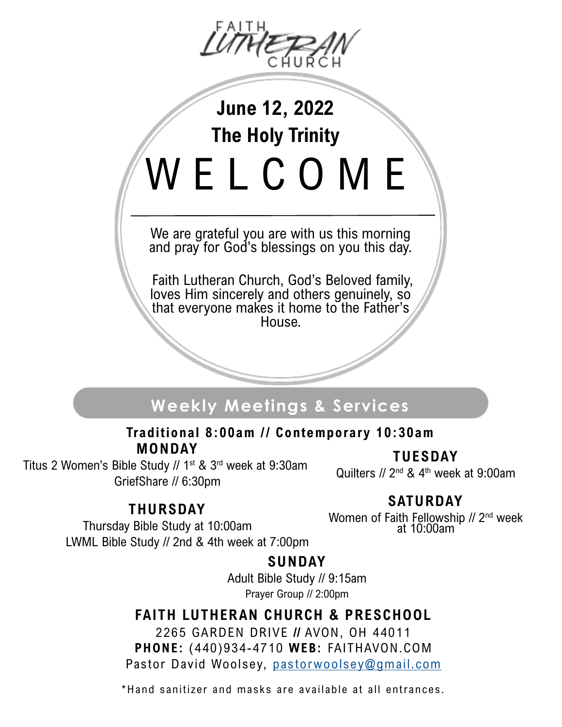

# **June 12, 2022 The Holy Trinity** W E L C O M E

We are grateful you are with us this morning and pray for God's blessings on you this day.

Faith Lutheran Church, God's Beloved family, loves Him sincerely and others genuinely, so that everyone makes it home to the Father's House.

### **Weekly Meetings & Services**

### **MONDAY** Traditional 8:00am // Contemporary 10:30am

Titus 2 Women's Bible Study // 1<sup>st</sup> & 3<sup>rd</sup> week at 9:30am GriefShare // 6:30pm

**TUESDAY**

Quilters  $//$  2<sup>nd</sup> & 4<sup>th</sup> week at 9:00am

### **THURSDAY**

### **SATURDAY**

Thursday Bible Study at 10:00am LWML Bible Study // 2nd & 4th week at 7:00pm Women of Faith Fellowship // 2<sup>nd</sup> week at 10:00am

### **SUNDAY**

Adult Bible Study // 9:15am Prayer Group // 2:00pm

### **FAITH LUTHERAN CHURCH & PRESCHOOL**

2265 GARDEN DRIVE **//** AVON, OH 44011 **PHONE:** (440)934-4710 **WEB:** FAITHAVON.COM Pastor David Woolsey, [pastorwoolsey@gmail.com](mailto:dcwoolsey@gmail.com)

\*Hand sanitizer and masks are available at all entrances.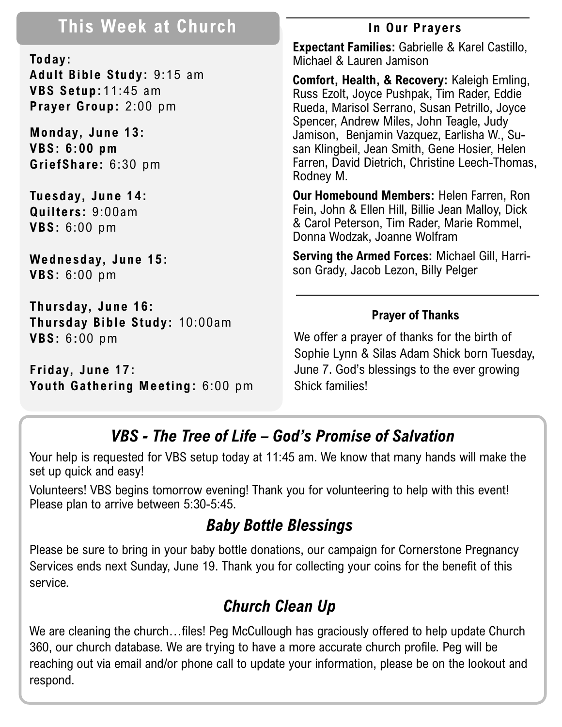### **This Week at Church In Our Prayers**

**Today: Adult Bible Study:** 9:15 am **VBS Setup:**11:45 am **Prayer Group:** 2:00 pm

**Monday, June 13: VBS: 6:00 pm GriefShare:** 6:30 pm

**Tuesday, June 14: Quilters:** 9:00am **VBS:** 6:00 pm

**Wednesday, June 15: VBS:** 6:00 pm

**Thursday, June 16: Thursday Bible Study:** 10:00am **VBS:** 6**:**00 pm

**Friday, June 17: Youth Gathering Meeting:** 6:00 pm

**Expectant Families:** Gabrielle & Karel Castillo, Michael & Lauren Jamison

**Comfort, Health, & Recovery:** Kaleigh Emling, Russ Ezolt, Joyce Pushpak, Tim Rader, Eddie Rueda, Marisol Serrano, Susan Petrillo, Joyce Spencer, Andrew Miles, John Teagle, Judy Jamison, Benjamin Vazquez, Earlisha W., Susan Klingbeil, Jean Smith, Gene Hosier, Helen Farren, David Dietrich, Christine Leech-Thomas, Rodney M.

**Our Homebound Members:** Helen Farren, Ron Fein, John & Ellen Hill, Billie Jean Malloy, Dick & Carol Peterson, Tim Rader, Marie Rommel, Donna Wodzak, Joanne Wolfram

**Serving the Armed Forces:** Michael Gill, Harrison Grady, Jacob Lezon, Billy Pelger

### **Prayer of Thanks**

We offer a prayer of thanks for the birth of Sophie Lynn & Silas Adam Shick born Tuesday, June 7. God's blessings to the ever growing Shick families!

### *VBS - The Tree of Life – God's Promise of Salvation*

Your help is requested for VBS setup today at 11:45 am. We know that many hands will make the set up quick and easy!

Volunteers! VBS begins tomorrow evening! Thank you for volunteering to help with this event! Please plan to arrive between 5:30-5:45.

### *Baby Bottle Blessings*

Please be sure to bring in your baby bottle donations, our campaign for Cornerstone Pregnancy Services ends next Sunday, June 19. Thank you for collecting your coins for the benefit of this service.

## *Church Clean Up*

We are cleaning the church...files! Peg McCullough has graciously offered to help update Church 360, our church database. We are trying to have a more accurate church profile. Peg will be reaching out via email and/or phone call to update your information, please be on the lookout and respond.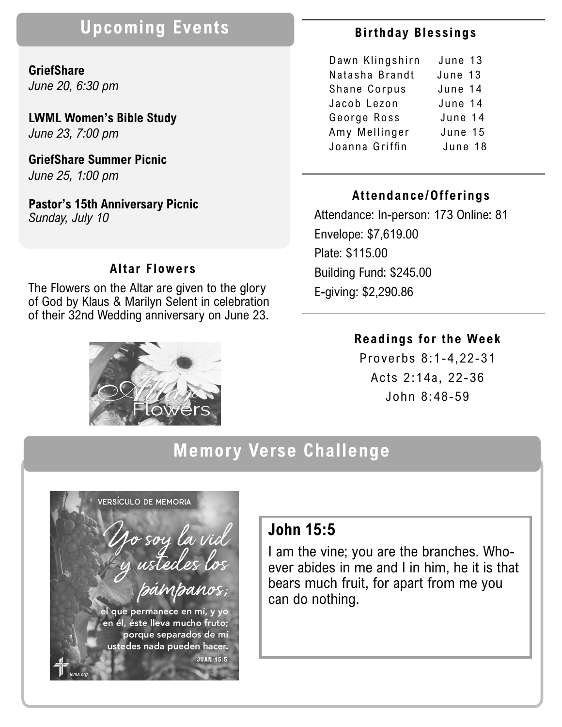### **Upcoming Events**

### **GriefShare**  *June 20, 6:30 pm*

**LWML Women's Bible Study** *June 23, 7:00 pm*

**GriefShare Summer Picnic** *June 25, 1:00 pm*

**Pastor's 15th Anniversary Picnic** *Sunday, July 10*

#### **Altar Flowers**

The Flowers on the Altar are given to the glory of God by Klaus & Marilyn Selent in celebration of their 32nd Wedding anniversary on June 23.



### **Bir thday Blessings**

| Dawn Klingshirn | June 13 |
|-----------------|---------|
| Natasha Brandt  | June 13 |
| Shane Corpus    | June 14 |
| Jacob Lezon     | June 14 |
| George Ross     | June 14 |
| Amy Mellinger   | June 15 |
| Joanna Griffin  | June 18 |
|                 |         |

#### **Attendance/Offerings**

Attendance: In-person: 173 Online: 81 Envelope: \$7,619.00 Plate: \$115.00 Building Fund: \$245.00 E-giving: \$2,290.86

#### **Readings for the Week**

Proverbs 8:1-4,22-31 Acts 2:14a, 22-36 John 8:48-59

### **Memory Verse Challenge**



### **John 15:5**

I am the vine; you are the branches. Whoever abides in me and I in him, he it is that bears much fruit, for apart from me you can do nothing.